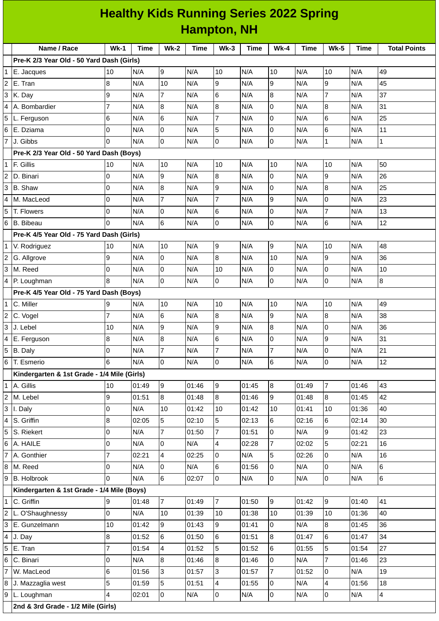## **Healthy Kids Running Series 2022 Spring Hampton, NH**

|                | Name / Race                                 | $Wk-1$         | <b>Time</b> | $Wk-2$         | <b>Time</b> | $Wk-3$         | <b>Time</b> | $Wk-4$         | <b>Time</b> | <b>Wk-5</b>    | <b>Time</b> | <b>Total Points</b> |
|----------------|---------------------------------------------|----------------|-------------|----------------|-------------|----------------|-------------|----------------|-------------|----------------|-------------|---------------------|
|                | Pre-K 2/3 Year Old - 50 Yard Dash (Girls)   |                |             |                |             |                |             |                |             |                |             |                     |
|                | E. Jacques                                  | 10             | N/A         | 9              | N/A         | 10             | N/A         | 10             | N/A         | 10             | N/A         | 49                  |
| $\overline{c}$ | E. Tran                                     | $\bf{8}$       | N/A         | 10             | N/A         | 9              | N/A         | 9              | N/A         | 9              | N/A         | 45                  |
| 3              | K. Day                                      | 9              | N/A         | $\overline{7}$ | N/A         | 6              | N/A         | 8              | N/A         | $\overline{7}$ | N/A         | 37                  |
|                | A. Bombardier                               | $\overline{7}$ | N/A         | 8              | N/A         | 8              | N/A         | 0              | N/A         | $\, 8$         | N/A         | 31                  |
| 5              | L. Ferguson                                 | 6              | N/A         | $6\phantom{a}$ | N/A         | $\overline{7}$ | N/A         | 0              | N/A         | $\,$ 6 $\,$    | N/A         | 25                  |
| 6              | E. Dziama                                   | 0              | N/A         | 0              | N/A         | 5              | N/A         | 0              | N/A         | 6              | N/A         | 11                  |
| $\overline{7}$ | J. Gibbs                                    | $\Omega$       | N/A         | $\overline{0}$ | N/A         | 0              | N/A         | 0              | N/A         | $\mathbf 1$    | N/A         | $\mathbf 1$         |
|                | Pre-K 2/3 Year Old - 50 Yard Dash (Boys)    |                |             |                |             |                |             |                |             |                |             |                     |
| 1              | F. Gillis                                   | 10             | N/A         | 10             | N/A         | 10             | N/A         | 10             | N/A         | 10             | N/A         | 50                  |
| $\overline{c}$ | D. Binari                                   | $\overline{0}$ | N/A         | 9              | N/A         | 8              | N/A         | 0              | N/A         | 9              | N/A         | 26                  |
| 3              | <b>B.</b> Shaw                              | 0              | N/A         | 8              | N/A         | 9              | N/A         | 0              | N/A         | $\bf{8}$       | N/A         | 25                  |
| 4              | M. MacLeod                                  | 0              | N/A         | $\overline{7}$ | N/A         | $\overline{7}$ | N/A         | 9              | N/A         | 0              | N/A         | 23                  |
| 5              | T. Flowers                                  | O              | N/A         | $\overline{0}$ | N/A         | 6              | N/A         | $\mathsf 0$    | N/A         | $\overline{7}$ | N/A         | 13                  |
| 6              | <b>B.</b> Bibeau                            | <sup>0</sup>   | N/A         | 6              | N/A         | 0              | N/A         | 0              | N/A         | 6              | N/A         | 12                  |
|                | Pre-K 4/5 Year Old - 75 Yard Dash (Girls)   |                |             |                |             |                |             |                |             |                |             |                     |
| 1              | V. Rodriguez                                | 10             | N/A         | 10             | N/A         | 9              | N/A         | $\overline{9}$ | N/A         | 10             | N/A         | 48                  |
|                | G. Allgrove                                 | 9              | N/A         | $\overline{0}$ | N/A         | 8              | N/A         | 10             | N/A         | 9              | N/A         | 36                  |
| 3              | M. Reed                                     | O              | N/A         | $\overline{0}$ | N/A         | 10             | N/A         | 0              | N/A         | $\mathsf 0$    | N/A         | 10                  |
|                | 4 P. Loughman                               | 8              | N/A         | l <sub>0</sub> | N/A         | 0              | N/A         | 0              | N/A         | $\overline{0}$ | N/A         | $\overline{8}$      |
|                | Pre-K 4/5 Year Old - 75 Yard Dash (Boys)    |                |             |                |             |                |             |                |             |                |             |                     |
| 1              | C. Miller                                   | 9              | N/A         | 10             | N/A         | 10             | N/A         | 10             | N/A         | 10             | N/A         | 49                  |
| 2              | C. Vogel                                    | $\overline{7}$ | N/A         | $6\phantom{a}$ | N/A         | 8              | N/A         | 9              | N/A         | $8\,$          | N/A         | 38                  |
| 3              | J. Lebel                                    | 10             | N/A         | 9              | N/A         | 9              | N/A         | 8              | N/A         | $\pmb{0}$      | N/A         | 36                  |
| 4              | E. Ferguson                                 | $\bf{8}$       | N/A         | 8              | N/A         | 6              | N/A         | 0              | N/A         | $\overline{9}$ | N/A         | 31                  |
| 5              | B. Daly                                     | 0              | N/A         | $\overline{7}$ | N/A         | 7              | N/A         | $\overline{7}$ | N/A         | 0              | N/A         | 21                  |
| 6              | T. Esmerio                                  | 6              | N/A         | $\overline{0}$ | N/A         | $\Omega$       | N/A         | 6              | N/A         | 0              | N/A         | 12                  |
|                | Kindergarten & 1st Grade - 1/4 Mile (Girls) |                |             |                |             |                |             |                |             |                |             |                     |
|                | 1 A. Gillis                                 | $10\,$         | 01:49       | 9              | 01:46       | 9              | 01:45       | 8              | 01:49       | $\overline{7}$ | 01:46       | 43                  |
| $\overline{c}$ | M. Lebel                                    | 9              | 01:51       | 8              | 01:48       | $\overline{8}$ | 01:46       | 9              | 01:48       | $\bf{8}$       | 01:45       | 42                  |
|                | $3$ I. Daly                                 | 0              | N/A         | 10             | 01:42       | 10             | 01:42       | 10             | 01:41       | 10             | 01:36       | 40                  |
| 4              | S. Griffin                                  | 8              | 02:05       | 5              | 02:10       | 5              | 02:13       | 6              | 02:16       | 6              | 02:14       | 30                  |
| 5              | S. Riekert                                  | 0              | N/A         | $\overline{7}$ | 01:50       | $\overline{7}$ | 01:51       | 0              | N/A         | 9              | 01:42       | 23                  |
|                | 6 A. HAILE                                  | 0              | N/A         | $\pmb{0}$      | N/A         | $\overline{4}$ | 02:28       | $\overline{7}$ | 02:02       | 5              | 02:21       | 16                  |
|                | 7 A. Gonthier                               | $\overline{7}$ | 02:21       | $\overline{4}$ | 02:25       | 0              | N/A         | 5              | 02:26       | 0              | N/A         | 16                  |
|                | 8 M. Reed                                   | 0              | N/A         | 0              | N/A         | 6              | 01:56       | 0              | N/A         | 0              | N/A         | $\,6$               |
| 9              | B. Holbrook                                 | $\overline{0}$ | N/A         | $\,6$          | 02:07       | 0              | N/A         | 0              | N/A         | $\mathsf 0$    | N/A         | 6                   |
|                | Kindergarten & 1st Grade - 1/4 Mile (Boys)  |                |             |                |             |                |             |                |             |                |             |                     |
| 1              | C. Griffin                                  | 9              | 01:48       | $\overline{7}$ | 01:49       | $\overline{7}$ | 01:50       | 9              | 01:42       | 9              | 01:40       | 41                  |
|                | 2 L. O'Shaughnessy                          | 0              | N/A         | 10             | 01:39       | 10             | 01:38       | 10             | 01:39       | 10             | 01:36       | 40                  |
| 3              | E. Gunzelmann                               | 10             | 01:42       | 9              | 01:43       | 9              | 01:41       | 0              | N/A         | $\bf{8}$       | 01:45       | 36                  |
| 4              | J. Day                                      | 8              | 01:52       | $6\phantom{.}$ | 01:50       | 6              | 01:51       | 8              | 01:47       | 6              | 01:47       | 34                  |
| 5              | E. Tran                                     | $\overline{7}$ | 01:54       | $\overline{4}$ | 01:52       | 5              | 01:52       | 6              | 01:55       | 5              | 01:54       | 27                  |
| 6              | C. Binari                                   | 0              | N/A         | 8              | 01:46       | 8              | 01:46       | 0              | N/A         | $\overline{7}$ | 01:46       | 23                  |
|                | W. MacLeod                                  | 6              | 01:56       | 3              | 01:57       | 3              | 01:57       | $\overline{7}$ | 01:52       | $\overline{0}$ | N/A         | 19                  |
| 8              | J. Mazzaglia west                           | 5              | 01:59       | 5              | 01:51       | 4              | 01:55       | 0              | N/A         | 4              | 01:56       | 18                  |
|                | 9 L. Loughman                               | 4              | 02:01       | $\mathsf{O}$   | N/A         | 0              | N/A         | 0              | N/A         | $\overline{0}$ | N/A         | $\overline{4}$      |
|                | 2nd & 3rd Grade - 1/2 Mile (Girls)          |                |             |                |             |                |             |                |             |                |             |                     |
|                |                                             |                |             |                |             |                |             |                |             |                |             |                     |